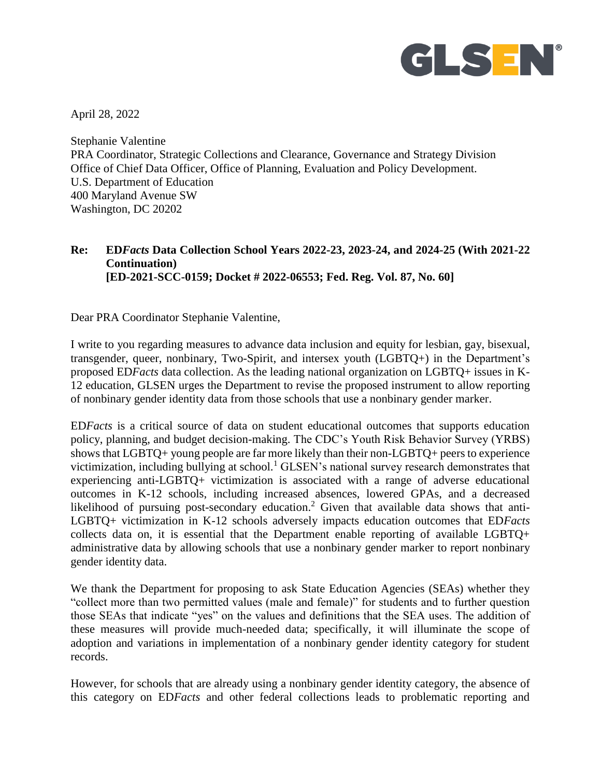

April 28, 2022

Stephanie Valentine PRA Coordinator, Strategic Collections and Clearance, Governance and Strategy Division Office of Chief Data Officer, Office of Planning, Evaluation and Policy Development. U.S. Department of Education 400 Maryland Avenue SW Washington, DC 20202

## **Re: ED***Facts* **Data Collection School Years 2022-23, 2023-24, and 2024-25 (With 2021-22 Continuation) [ED-2021-SCC-0159; Docket # 2022-06553; Fed. Reg. Vol. 87, No. 60]**

Dear PRA Coordinator Stephanie Valentine,

I write to you regarding measures to advance data inclusion and equity for lesbian, gay, bisexual, transgender, queer, nonbinary, Two-Spirit, and intersex youth (LGBTQ+) in the Department's proposed ED*Facts* data collection. As the leading national organization on LGBTQ+ issues in K-12 education, GLSEN urges the Department to revise the proposed instrument to allow reporting of nonbinary gender identity data from those schools that use a nonbinary gender marker.

ED*Facts* is a critical source of data on student educational outcomes that supports education policy, planning, and budget decision-making. The CDC's Youth Risk Behavior Survey (YRBS) shows that LGBTQ+ young people are far more likely than their non-LGBTQ+ peers to experience victimization, including bullying at school.<sup>1</sup> GLSEN's national survey research demonstrates that experiencing anti-LGBTQ+ victimization is associated with a range of adverse educational outcomes in K-12 schools, including increased absences, lowered GPAs, and a decreased likelihood of pursuing post-secondary education.<sup>2</sup> Given that available data shows that anti-LGBTQ+ victimization in K-12 schools adversely impacts education outcomes that ED*Facts* collects data on, it is essential that the Department enable reporting of available LGBTQ+ administrative data by allowing schools that use a nonbinary gender marker to report nonbinary gender identity data.

We thank the Department for proposing to ask State Education Agencies (SEAs) whether they "collect more than two permitted values (male and female)" for students and to further question those SEAs that indicate "yes" on the values and definitions that the SEA uses. The addition of these measures will provide much-needed data; specifically, it will illuminate the scope of adoption and variations in implementation of a nonbinary gender identity category for student records.

However, for schools that are already using a nonbinary gender identity category, the absence of this category on ED*Facts* and other federal collections leads to problematic reporting and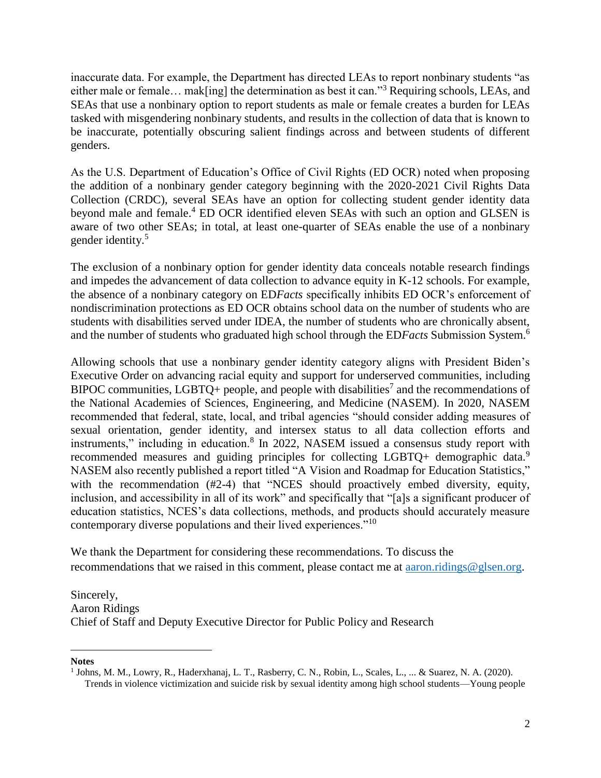inaccurate data. For example, the Department has directed LEAs to report nonbinary students "as either male or female… mak[ing] the determination as best it can."<sup>3</sup> Requiring schools, LEAs, and SEAs that use a nonbinary option to report students as male or female creates a burden for LEAs tasked with misgendering nonbinary students, and results in the collection of data that is known to be inaccurate, potentially obscuring salient findings across and between students of different genders.

As the U.S. Department of Education's Office of Civil Rights (ED OCR) noted when proposing the addition of a nonbinary gender category beginning with the 2020-2021 Civil Rights Data Collection (CRDC), several SEAs have an option for collecting student gender identity data beyond male and female.<sup>4</sup> ED OCR identified eleven SEAs with such an option and GLSEN is aware of two other SEAs; in total, at least one-quarter of SEAs enable the use of a nonbinary gender identity.<sup>5</sup>

The exclusion of a nonbinary option for gender identity data conceals notable research findings and impedes the advancement of data collection to advance equity in K-12 schools. For example, the absence of a nonbinary category on ED*Facts* specifically inhibits ED OCR's enforcement of nondiscrimination protections as ED OCR obtains school data on the number of students who are students with disabilities served under IDEA, the number of students who are chronically absent, and the number of students who graduated high school through the ED*Facts* Submission System. 6

Allowing schools that use a nonbinary gender identity category aligns with President Biden's Executive Order on advancing racial equity and support for underserved communities, including BIPOC communities, LGBTQ+ people, and people with disabilities<sup>7</sup> and the recommendations of the National Academies of Sciences, Engineering, and Medicine (NASEM). In 2020, NASEM recommended that federal, state, local, and tribal agencies "should consider adding measures of sexual orientation, gender identity, and intersex status to all data collection efforts and instruments," including in education.<sup>8</sup> In 2022, NASEM issued a consensus study report with recommended measures and guiding principles for collecting LGBTQ+ demographic data.<sup>9</sup> NASEM also recently published a report titled "A Vision and Roadmap for Education Statistics," with the recommendation (#2-4) that "NCES should proactively embed diversity, equity, inclusion, and accessibility in all of its work" and specifically that "[a]s a significant producer of education statistics, NCES's data collections, methods, and products should accurately measure contemporary diverse populations and their lived experiences."<sup>10</sup>

We thank the Department for considering these recommendations. To discuss the recommendations that we raised in this comment, please contact me at [aaron.ridings@glsen.org.](mailto:aaron.ridings@glsen.org)

Sincerely, Aaron Ridings Chief of Staff and Deputy Executive Director for Public Policy and Research

**Notes**

 $\overline{\phantom{a}}$ 

<sup>&</sup>lt;sup>1</sup> Johns, M. M., Lowry, R., Haderxhanaj, L. T., Rasberry, C. N., Robin, L., Scales, L., ... & Suarez, N. A. (2020). Trends in violence victimization and suicide risk by sexual identity among high school students—Young people